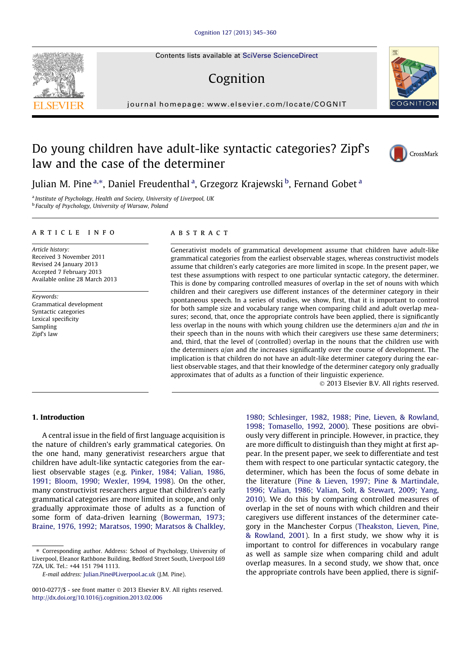Contents lists available at [SciVerse ScienceDirect](http://www.sciencedirect.com/science/journal/00100277)

# Cognition

journal homepage: [www.elsevier.com/locate/COGNIT](http://www.elsevier.com/locate/COGNIT)

## Do young children have adult-like syntactic categories? Zipf's law and the case of the determiner

Julian M. Pine <sup>a,</sup>\*, Daniel Freudenthal <sup>a</sup>, Grzegorz Krajewski <sup>b</sup>, Fernand Gobet <sup>a</sup>

<sup>a</sup> Institute of Psychology, Health and Society, University of Liverpool, UK **b Faculty of Psychology, University of Warsaw, Poland** 

#### article info

Article history: Received 3 November 2011 Revised 24 January 2013 Accepted 7 February 2013 Available online 28 March 2013

Keywords: Grammatical development Syntactic categories Lexical specificity Sampling Zipf's law

## **ABSTRACT**

Generativist models of grammatical development assume that children have adult-like grammatical categories from the earliest observable stages, whereas constructivist models assume that children's early categories are more limited in scope. In the present paper, we test these assumptions with respect to one particular syntactic category, the determiner. This is done by comparing controlled measures of overlap in the set of nouns with which children and their caregivers use different instances of the determiner category in their spontaneous speech. In a series of studies, we show, first, that it is important to control for both sample size and vocabulary range when comparing child and adult overlap measures; second, that, once the appropriate controls have been applied, there is significantly less overlap in the nouns with which young children use the determiners a/an and the in their speech than in the nouns with which their caregivers use these same determiners; and, third, that the level of (controlled) overlap in the nouns that the children use with the determiners  $a/an$  and the increases significantly over the course of development. The implication is that children do not have an adult-like determiner category during the earliest observable stages, and that their knowledge of the determiner category only gradually approximates that of adults as a function of their linguistic experience.

- 2013 Elsevier B.V. All rights reserved.

## 1. Introduction

A central issue in the field of first language acquisition is the nature of children's early grammatical categories. On the one hand, many generativist researchers argue that children have adult-like syntactic categories from the earliest observable stages (e.g. [Pinker, 1984; Valian, 1986,](#page-14-0) [1991; Bloom, 1990; Wexler, 1994, 1998\)](#page-14-0). On the other, many constructivist researchers argue that children's early grammatical categories are more limited in scope, and only gradually approximate those of adults as a function of some form of data-driven learning ([Bowerman, 1973;](#page-14-0) [Braine, 1976, 1992; Maratsos, 1990; Maratsos & Chalkley,](#page-14-0)

⇑ Corresponding author. Address: School of Psychology, University of Liverpool, Eleanor Rathbone Building, Bedford Street South, Liverpool L69 7ZA, UK. Tel.: +44 151 794 1113.

[1980; Schlesinger, 1982, 1988; Pine, Lieven, & Rowland,](#page-14-0) [1998; Tomasello, 1992, 2000](#page-14-0)). These positions are obviously very different in principle. However, in practice, they are more difficult to distinguish than they might at first appear. In the present paper, we seek to differentiate and test them with respect to one particular syntactic category, the determiner, which has been the focus of some debate in the literature [\(Pine & Lieven, 1997; Pine & Martindale,](#page-14-0) [1996; Valian, 1986; Valian, Solt, & Stewart, 2009; Yang,](#page-14-0) [2010\)](#page-14-0). We do this by comparing controlled measures of overlap in the set of nouns with which children and their caregivers use different instances of the determiner category in the Manchester Corpus ([Theakston, Lieven, Pine,](#page-15-0) [& Rowland, 2001](#page-15-0)). In a first study, we show why it is important to control for differences in vocabulary range as well as sample size when comparing child and adult overlap measures. In a second study, we show that, once the appropriate controls have been applied, there is signif-







E-mail address: [Julian.Pine@Liverpool.ac.uk](mailto:Julian.Pine@Liverpool.ac.uk) (J.M. Pine).

<sup>0010-0277/\$ -</sup> see front matter © 2013 Elsevier B.V. All rights reserved. <http://dx.doi.org/10.1016/j.cognition.2013.02.006>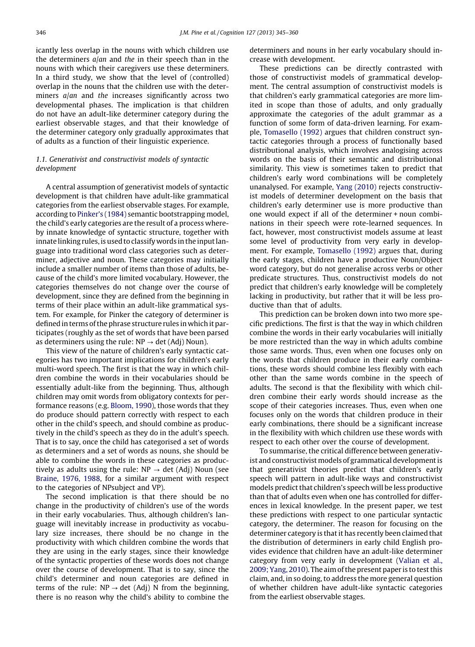icantly less overlap in the nouns with which children use the determiners  $a/an$  and the in their speech than in the nouns with which their caregivers use these determiners. In a third study, we show that the level of (controlled) overlap in the nouns that the children use with the determiners *a/an* and *the* increases significantly across two developmental phases. The implication is that children do not have an adult-like determiner category during the earliest observable stages, and that their knowledge of the determiner category only gradually approximates that of adults as a function of their linguistic experience.

## 1.1. Generativist and constructivist models of syntactic development

A central assumption of generativist models of syntactic development is that children have adult-like grammatical categories from the earliest observable stages. For example, according to [Pinker's \(1984\)](#page-14-0) semantic bootstrapping model, the child's early categories are the result of a process whereby innate knowledge of syntactic structure, together with innate linking rules, is used to classify words in the input language into traditional word class categories such as determiner, adjective and noun. These categories may initially include a smaller number of items than those of adults, because of the child's more limited vocabulary. However, the categories themselves do not change over the course of development, since they are defined from the beginning in terms of their place within an adult-like grammatical system. For example, for Pinker the category of determiner is defined in terms of the phrase structure rules in which it participates (roughly as the set of words that have been parsed as determiners using the rule:  $NP \rightarrow det (Adj) Noun$ ).

This view of the nature of children's early syntactic categories has two important implications for children's early multi-word speech. The first is that the way in which children combine the words in their vocabularies should be essentially adult-like from the beginning. Thus, although children may omit words from obligatory contexts for performance reasons (e.g. [Bloom, 1990\)](#page-14-0), those words that they do produce should pattern correctly with respect to each other in the child's speech, and should combine as productively in the child's speech as they do in the adult's speech. That is to say, once the child has categorised a set of words as determiners and a set of words as nouns, she should be able to combine the words in these categories as productively as adults using the rule:  $NP \rightarrow det (Adj)$  Noun (see [Braine, 1976, 1988,](#page-14-0) for a similar argument with respect to the categories of NPsubject and VP).

The second implication is that there should be no change in the productivity of children's use of the words in their early vocabularies. Thus, although children's language will inevitably increase in productivity as vocabulary size increases, there should be no change in the productivity with which children combine the words that they are using in the early stages, since their knowledge of the syntactic properties of these words does not change over the course of development. That is to say, since the child's determiner and noun categories are defined in terms of the rule:  $NP \rightarrow det (Adj) N$  from the beginning, there is no reason why the child's ability to combine the determiners and nouns in her early vocabulary should increase with development.

These predictions can be directly contrasted with those of constructivist models of grammatical development. The central assumption of constructivist models is that children's early grammatical categories are more limited in scope than those of adults, and only gradually approximate the categories of the adult grammar as a function of some form of data-driven learning. For example, [Tomasello \(1992\)](#page-15-0) argues that children construct syntactic categories through a process of functionally based distributional analysis, which involves analogising across words on the basis of their semantic and distributional similarity. This view is sometimes taken to predict that children's early word combinations will be completely unanalysed. For example, [Yang \(2010\)](#page-15-0) rejects constructivist models of determiner development on the basis that children's early determiner use is more productive than one would expect if all of the determiner + noun combinations in their speech were rote-learned sequences. In fact, however, most constructivist models assume at least some level of productivity from very early in development. For example, [Tomasello \(1992\)](#page-15-0) argues that, during the early stages, children have a productive Noun/Object word category, but do not generalise across verbs or other predicate structures. Thus, constructivist models do not predict that children's early knowledge will be completely lacking in productivity, but rather that it will be less productive than that of adults.

This prediction can be broken down into two more specific predictions. The first is that the way in which children combine the words in their early vocabularies will initially be more restricted than the way in which adults combine those same words. Thus, even when one focuses only on the words that children produce in their early combinations, these words should combine less flexibly with each other than the same words combine in the speech of adults. The second is that the flexibility with which children combine their early words should increase as the scope of their categories increases. Thus, even when one focuses only on the words that children produce in their early combinations, there should be a significant increase in the flexibility with which children use these words with respect to each other over the course of development.

To summarise, the critical difference between generativist and constructivist models of grammatical development is that generativist theories predict that children's early speech will pattern in adult-like ways and constructivist models predict that children's speech will be less productive than that of adults even when one has controlled for differences in lexical knowledge. In the present paper, we test these predictions with respect to one particular syntactic category, the determiner. The reason for focusing on the determiner category is that it has recently been claimed that the distribution of determiners in early child English provides evidence that children have an adult-like determiner category from very early in development [\(Valian et al.,](#page-15-0) [2009; Yang, 2010](#page-15-0)). The aim of the present paper is to test this claim, and, in so doing, to address the more general question of whether children have adult-like syntactic categories from the earliest observable stages.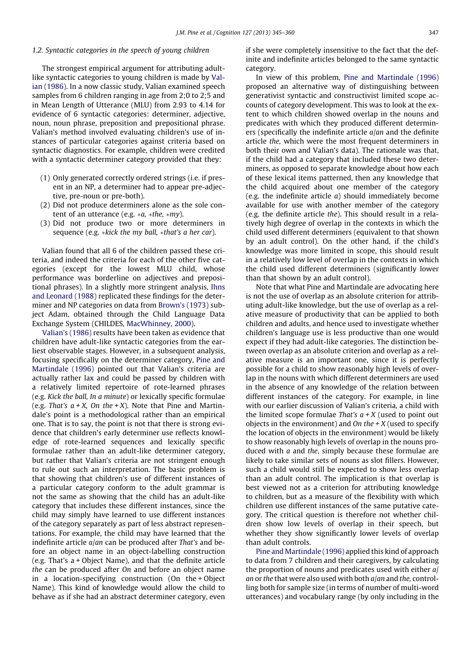#### 1.2. Syntactic categories in the speech of young children

The strongest empirical argument for attributing adultlike syntactic categories to young children is made by [Val](#page-15-0)[ian \(1986\).](#page-15-0) In a now classic study, Valian examined speech samples from 6 children ranging in age from 2;0 to 2;5 and in Mean Length of Utterance (MLU) from 2.93 to 4.14 for evidence of 6 syntactic categories: determiner, adjective, noun, noun phrase, preposition and prepositional phrase. Valian's method involved evaluating children's use of instances of particular categories against criteria based on syntactic diagnostics. For example, children were credited with a syntactic determiner category provided that they:

- (1) Only generated correctly ordered strings (i.e. if present in an NP, a determiner had to appear pre-adjective, pre-noun or pre-both).
- (2) Did not produce determiners alone as the sole content of an utterance (e.g.  $* a$ ,  $* the$ ,  $* my$ ).
- (3) Did not produce two or more determiners in sequence (e.g. \* kick the my ball, \* that's a her car).

Valian found that all 6 of the children passed these criteria, and indeed the criteria for each of the other five categories (except for the lowest MLU child, whose performance was borderline on adjectives and prepositional phrases). In a slightly more stringent analysis, [Ihns](#page-14-0) [and Leonard \(1988\)](#page-14-0) replicated these findings for the determiner and NP categories on data from [Brown's \(1973\)](#page-14-0) subject Adam, obtained through the Child Language Data Exchange System (CHILDES, [MacWhinney, 2000](#page-14-0)).

[Valian's \(1986\)](#page-15-0) results have been taken as evidence that children have adult-like syntactic categories from the earliest observable stages. However, in a subsequent analysis, focusing specifically on the determiner category, [Pine and](#page-14-0) [Martindale \(1996\)](#page-14-0) pointed out that Valian's criteria are actually rather lax and could be passed by children with a relatively limited repertoire of rote-learned phrases (e.g. Kick the ball, In a minute) or lexically specific formulae (e.g. That's  $a + X$ , On the  $+ X$ ). Note that Pine and Martindale's point is a methodological rather than an empirical one. That is to say, the point is not that there is strong evidence that children's early determiner use reflects knowledge of rote-learned sequences and lexically specific formulae rather than an adult-like determiner category, but rather that Valian's criteria are not stringent enough to rule out such an interpretation. The basic problem is that showing that children's use of different instances of a particular category conform to the adult grammar is not the same as showing that the child has an adult-like category that includes these different instances, since the child may simply have learned to use different instances of the category separately as part of less abstract representations. For example, the child may have learned that the indefinite article  $a/an$  can be produced after That's and before an object name in an object-labelling construction (e.g. That's a + Object Name), and that the definite article the can be produced after On and before an object name in a location-specifying construction (On the + Object Name). This kind of knowledge would allow the child to behave as if she had an abstract determiner category, even

if she were completely insensitive to the fact that the definite and indefinite articles belonged to the same syntactic category.

In view of this problem, [Pine and Martindale \(1996\)](#page-14-0) proposed an alternative way of distinguishing between generativist syntactic and constructivist limited scope accounts of category development. This was to look at the extent to which children showed overlap in the nouns and predicates with which they produced different determiners (specifically the indefinite article  $a/an$  and the definite article the, which were the most frequent determiners in both their own and Valian's data). The rationale was that, if the child had a category that included these two determiners, as opposed to separate knowledge about how each of these lexical items patterned, then any knowledge that the child acquired about one member of the category (e.g. the indefinite article  $a$ ) should immediately become available for use with another member of the category (e.g. the definite article the). This should result in a relatively high degree of overlap in the contexts in which the child used different determiners (equivalent to that shown by an adult control). On the other hand, if the child's knowledge was more limited in scope, this should result in a relatively low level of overlap in the contexts in which the child used different determiners (significantly lower than that shown by an adult control).

Note that what Pine and Martindale are advocating here is not the use of overlap as an absolute criterion for attributing adult-like knowledge, but the use of overlap as a relative measure of productivity that can be applied to both children and adults, and hence used to investigate whether children's language use is less productive than one would expect if they had adult-like categories. The distinction between overlap as an absolute criterion and overlap as a relative measure is an important one, since it is perfectly possible for a child to show reasonably high levels of overlap in the nouns with which different determiners are used in the absence of any knowledge of the relation between different instances of the category. For example, in line with our earlier discussion of Valian's criteria, a child with the limited scope formulae That's  $a + X$  (used to point out objects in the environment) and On the  $+ X$  (used to specify the location of objects in the environment) would be likely to show reasonably high levels of overlap in the nouns produced with a and the, simply because these formulae are likely to take similar sets of nouns as slot fillers. However, such a child would still be expected to show less overlap than an adult control. The implication is that overlap is best viewed not as a criterion for attributing knowledge to children, but as a measure of the flexibility with which children use different instances of the same putative category. The critical question is therefore not whether children show low levels of overlap in their speech, but whether they show significantly lower levels of overlap than adult controls.

[Pine and Martindale \(1996\)](#page-14-0) applied this kind of approach to data from 7 children and their caregivers, by calculating the proportion of nouns and predicates used with either a/ an or the that were also used with both  $a/an$  and the, controlling both for sample size (in terms of number of multi-word utterances) and vocabulary range (by only including in the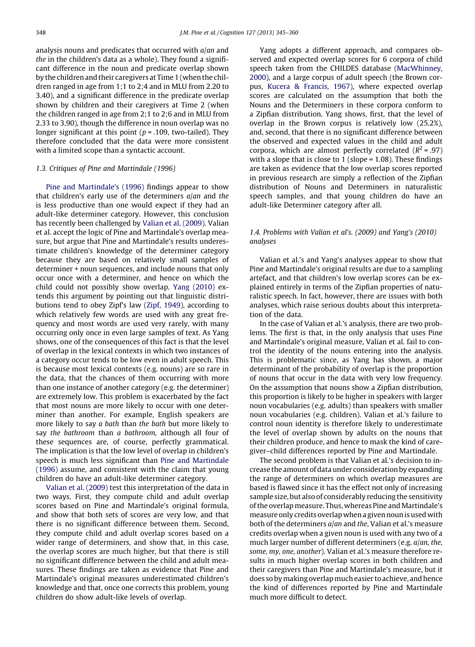analysis nouns and predicates that occurred with  $a/an$  and the in the children's data as a whole). They found a significant difference in the noun and predicate overlap shown by the children and their caregivers at Time 1 (when the children ranged in age from 1;1 to 2;4 and in MLU from 2.20 to 3.40), and a significant difference in the predicate overlap shown by children and their caregivers at Time 2 (when the children ranged in age from 2;1 to 2;6 and in MLU from 2.33 to 3.90), though the difference in noun overlap was no longer significant at this point ( $p = .109$ , two-tailed). They therefore concluded that the data were more consistent with a limited scope than a syntactic account.

#### 1.3. Critiques of Pine and Martindale (1996)

[Pine and Martindale's \(1996\)](#page-14-0) findings appear to show that children's early use of the determiners  $a/an$  and the is less productive than one would expect if they had an adult-like determiner category. However, this conclusion has recently been challenged by [Valian et al. \(2009\)](#page-15-0). Valian et al. accept the logic of Pine and Martindale's overlap measure, but argue that Pine and Martindale's results underestimate children's knowledge of the determiner category because they are based on relatively small samples of determiner + noun sequences, and include nouns that only occur once with a determiner, and hence on which the child could not possibly show overlap. [Yang \(2010\)](#page-15-0) extends this argument by pointing out that linguistic distributions tend to obey Zipf's law [\(Zipf, 1949\)](#page-15-0), according to which relatively few words are used with any great frequency and most words are used very rarely, with many occurring only once in even large samples of text. As Yang shows, one of the consequences of this fact is that the level of overlap in the lexical contexts in which two instances of a category occur tends to be low even in adult speech. This is because most lexical contexts (e.g. nouns) are so rare in the data, that the chances of them occurring with more than one instance of another category (e.g. the determiner) are extremely low. This problem is exacerbated by the fact that most nouns are more likely to occur with one determiner than another. For example, English speakers are more likely to say a bath than the bath but more likely to say the bathroom than a bathroom, although all four of these sequences are, of course, perfectly grammatical. The implication is that the low level of overlap in children's speech is much less significant than [Pine and Martindale](#page-14-0) [\(1996\)](#page-14-0) assume, and consistent with the claim that young children do have an adult-like determiner category.

[Valian et al. \(2009\)](#page-15-0) test this interpretation of the data in two ways. First, they compute child and adult overlap scores based on Pine and Martindale's original formula, and show that both sets of scores are very low, and that there is no significant difference between them. Second, they compute child and adult overlap scores based on a wider range of determiners, and show that, in this case, the overlap scores are much higher, but that there is still no significant difference between the child and adult measures. These findings are taken as evidence that Pine and Martindale's original measures underestimated children's knowledge and that, once one corrects this problem, young children do show adult-like levels of overlap.

Yang adopts a different approach, and compares observed and expected overlap scores for 6 corpora of child speech taken from the CHILDES database [\(MacWhinney,](#page-14-0) [2000](#page-14-0)), and a large corpus of adult speech (the Brown corpus, [Kucera & Francis, 1967](#page-14-0)), where expected overlap scores are calculated on the assumption that both the Nouns and the Determiners in these corpora conform to a Zipfian distribution. Yang shows, first, that the level of overlap in the Brown corpus is relatively low (25.2%), and, second, that there is no significant difference between the observed and expected values in the child and adult corpora, which are almost perfectly correlated  $(R^2 = .97)$ with a slope that is close to  $1$  (slope = 1.08). These findings are taken as evidence that the low overlap scores reported in previous research are simply a reflection of the Zipfian distribution of Nouns and Determiners in naturalistic speech samples, and that young children do have an adult-like Determiner category after all.

## 1.4. Problems with Valian et al's. (2009) and Yang's (2010) analyses

Valian et al.'s and Yang's analyses appear to show that Pine and Martindale's original results are due to a sampling artefact, and that children's low overlap scores can be explained entirely in terms of the Zipfian properties of naturalistic speech. In fact, however, there are issues with both analyses, which raise serious doubts about this interpretation of the data.

In the case of Valian et al.'s analysis, there are two problems. The first is that, in the only analysis that uses Pine and Martindale's original measure, Valian et al. fail to control the identity of the nouns entering into the analysis. This is problematic since, as Yang has shown, a major determinant of the probability of overlap is the proportion of nouns that occur in the data with very low frequency. On the assumption that nouns show a Zipfian distribution, this proportion is likely to be higher in speakers with larger noun vocabularies (e.g. adults) than speakers with smaller noun vocabularies (e.g. children). Valian et al.'s failure to control noun identity is therefore likely to underestimate the level of overlap shown by adults on the nouns that their children produce, and hence to mask the kind of caregiver–child differences reported by Pine and Martindale.

The second problem is that Valian et al.'s decision to increase the amount of data under consideration by expanding the range of determiners on which overlap measures are based is flawed since it has the effect not only of increasing sample size, but also of considerably reducing the sensitivity of the overlap measure. Thus, whereas Pine and Martindale's measure only credits overlap when a given noun is usedwith both of the determiners a/an and the, Valian et al.'s measure credits overlap when a given noun is used with any two of a much larger number of different determiners (e.g. a/an, the, some, my, one, another). Valian et al.'s measure therefore results in much higher overlap scores in both children and their caregivers than Pine and Martindale's measure, but it does so by making overlap much easier to achieve, and hence the kind of differences reported by Pine and Martindale much more difficult to detect.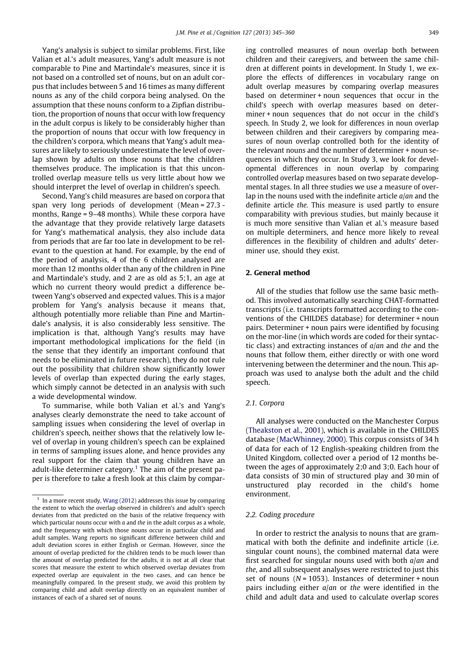Yang's analysis is subject to similar problems. First, like Valian et al.'s adult measures, Yang's adult measure is not comparable to Pine and Martindale's measures, since it is not based on a controlled set of nouns, but on an adult corpus that includes between 5 and 16 times as many different nouns as any of the child corpora being analysed. On the assumption that these nouns conform to a Zipfian distribution, the proportion of nouns that occur with low frequency in the adult corpus is likely to be considerably higher than the proportion of nouns that occur with low frequency in the children's corpora, which means that Yang's adult measures are likely to seriously underestimate the level of overlap shown by adults on those nouns that the children themselves produce. The implication is that this uncontrolled overlap measure tells us very little about how we should interpret the level of overlap in children's speech.

Second, Yang's child measures are based on corpora that span very long periods of development (Mean = 27.3 months, Range = 9–48 months). While these corpora have the advantage that they provide relatively large datasets for Yang's mathematical analysis, they also include data from periods that are far too late in development to be relevant to the question at hand. For example, by the end of the period of analysis, 4 of the 6 children analysed are more than 12 months older than any of the children in Pine and Martindale's study, and 2 are as old as 5;1, an age at which no current theory would predict a difference between Yang's observed and expected values. This is a major problem for Yang's analysis because it means that, although potentially more reliable than Pine and Martindale's analysis, it is also considerably less sensitive. The implication is that, although Yang's results may have important methodological implications for the field (in the sense that they identify an important confound that needs to be eliminated in future research), they do not rule out the possibility that children show significantly lower levels of overlap than expected during the early stages, which simply cannot be detected in an analysis with such a wide developmental window.

To summarise, while both Valian et al.'s and Yang's analyses clearly demonstrate the need to take account of sampling issues when considering the level of overlap in children's speech, neither shows that the relatively low level of overlap in young children's speech can be explained in terms of sampling issues alone, and hence provides any real support for the claim that young children have an adult-like determiner category.<sup>1</sup> The aim of the present paper is therefore to take a fresh look at this claim by comparing controlled measures of noun overlap both between children and their caregivers, and between the same children at different points in development. In Study 1, we explore the effects of differences in vocabulary range on adult overlap measures by comparing overlap measures based on determiner + noun sequences that occur in the child's speech with overlap measures based on determiner + noun sequences that do not occur in the child's speech. In Study 2, we look for differences in noun overlap between children and their caregivers by comparing measures of noun overlap controlled both for the identity of the relevant nouns and the number of determiner + noun sequences in which they occur. In Study 3, we look for developmental differences in noun overlap by comparing controlled overlap measures based on two separate developmental stages. In all three studies we use a measure of overlap in the nouns used with the indefinite article  $a/an$  and the definite article the. This measure is used partly to ensure comparability with previous studies, but mainly because it is much more sensitive than Valian et al.'s measure based on multiple determiners, and hence more likely to reveal differences in the flexibility of children and adults' determiner use, should they exist.

## 2. General method

All of the studies that follow use the same basic method. This involved automatically searching CHAT-formatted transcripts (i.e. transcripts formatted according to the conventions of the CHILDES database) for determiner + noun pairs. Determiner + noun pairs were identified by focusing on the mor-line (in which words are coded for their syntactic class) and extracting instances of  $a/an$  and the and the nouns that follow them, either directly or with one word intervening between the determiner and the noun. This approach was used to analyse both the adult and the child speech.

### 2.1. Corpora

All analyses were conducted on the Manchester Corpus [\(Theakston et al., 2001](#page-15-0)), which is available in the CHILDES database [\(MacWhinney, 2000](#page-14-0)). This corpus consists of 34 h of data for each of 12 English-speaking children from the United Kingdom, collected over a period of 12 months between the ages of approximately 2;0 and 3;0. Each hour of data consists of 30 min of structured play and 30 min of unstructured play recorded in the child's home environment.

#### 2.2. Coding procedure

In order to restrict the analysis to nouns that are grammatical with both the definite and indefinite article (i.e. singular count nouns), the combined maternal data were first searched for singular nouns used with both  $a/an$  and the, and all subsequent analyses were restricted to just this set of nouns ( $N = 1053$ ). Instances of determiner + noun pairs including either a/an or the were identified in the child and adult data and used to calculate overlap scores

 $1$  In a more recent study, [Wang \(2012\)](#page-15-0) addresses this issue by comparing the extent to which the overlap observed in children's and adult's speech deviates from that predicted on the basis of the relative frequency with which particular nouns occur with a and the in the adult corpus as a whole. and the frequency with which those nouns occur in particular child and adult samples. Wang reports no significant difference between child and adult deviation scores in either English or German. However, since the amount of overlap predicted for the children tends to be much lower than the amount of overlap predicted for the adults, it is not at all clear that scores that measure the extent to which observed overlap deviates from expected overlap are equivalent in the two cases, and can hence be meaningfully compared. In the present study, we avoid this problem by comparing child and adult overlap directly on an equivalent number of instances of each of a shared set of nouns.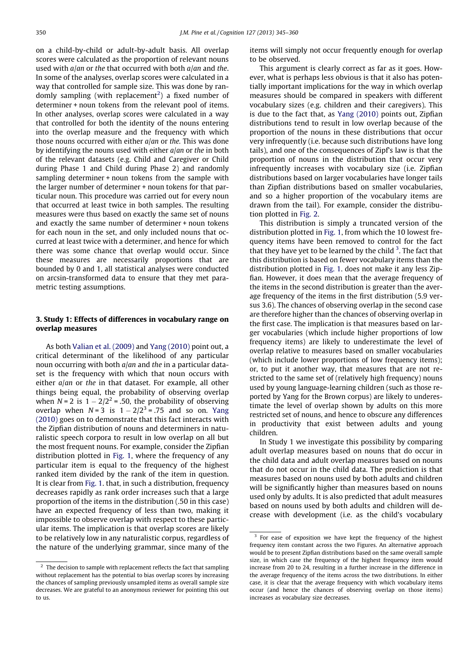on a child-by-child or adult-by-adult basis. All overlap scores were calculated as the proportion of relevant nouns used with  $a/an$  or the that occurred with both  $a/an$  and the. In some of the analyses, overlap scores were calculated in a way that controlled for sample size. This was done by randomly sampling (with replacement<sup>2</sup>) a fixed number of determiner + noun tokens from the relevant pool of items. In other analyses, overlap scores were calculated in a way that controlled for both the identity of the nouns entering into the overlap measure and the frequency with which those nouns occurred with either  $a/an$  or the. This was done by identifying the nouns used with either a/an or the in both of the relevant datasets (e.g. Child and Caregiver or Child during Phase 1 and Child during Phase 2) and randomly sampling determiner + noun tokens from the sample with the larger number of determiner + noun tokens for that particular noun. This procedure was carried out for every noun that occurred at least twice in both samples. The resulting measures were thus based on exactly the same set of nouns and exactly the same number of determiner + noun tokens for each noun in the set, and only included nouns that occurred at least twice with a determiner, and hence for which there was some chance that overlap would occur. Since these measures are necessarily proportions that are bounded by 0 and 1, all statistical analyses were conducted on arcsin-transformed data to ensure that they met parametric testing assumptions.

## 3. Study 1: Effects of differences in vocabulary range on overlap measures

As both [Valian et al. \(2009\)](#page-15-0) and [Yang \(2010\)](#page-15-0) point out, a critical determinant of the likelihood of any particular noun occurring with both a/an and the in a particular dataset is the frequency with which that noun occurs with either a/an or the in that dataset. For example, all other things being equal, the probability of observing overlap when  $N = 2$  is  $1 - 2/2^2 = .50$ , the probability of observing overlap when  $N = 3$  is  $1 - 2/2^3 = .75$  and so on. [Yang](#page-15-0) [\(2010\)](#page-15-0) goes on to demonstrate that this fact interacts with the Zipfian distribution of nouns and determiners in naturalistic speech corpora to result in low overlap on all but the most frequent nouns. For example, consider the Zipfian distribution plotted in [Fig. 1](#page-6-0), where the frequency of any particular item is equal to the frequency of the highest ranked item divided by the rank of the item in question. It is clear from [Fig. 1.](#page-6-0) that, in such a distribution, frequency decreases rapidly as rank order increases such that a large proportion of the items in the distribution (.50 in this case) have an expected frequency of less than two, making it impossible to observe overlap with respect to these particular items. The implication is that overlap scores are likely to be relatively low in any naturalistic corpus, regardless of the nature of the underlying grammar, since many of the items will simply not occur frequently enough for overlap to be observed.

This argument is clearly correct as far as it goes. However, what is perhaps less obvious is that it also has potentially important implications for the way in which overlap measures should be compared in speakers with different vocabulary sizes (e.g. children and their caregivers). This is due to the fact that, as [Yang \(2010\)](#page-15-0) points out, Zipfian distributions tend to result in low overlap because of the proportion of the nouns in these distributions that occur very infrequently (i.e. because such distributions have long tails), and one of the consequences of Zipf's law is that the proportion of nouns in the distribution that occur very infrequently increases with vocabulary size (i.e. Zipfian distributions based on larger vocabularies have longer tails than Zipfian distributions based on smaller vocabularies, and so a higher proportion of the vocabulary items are drawn from the tail). For example, consider the distribution plotted in [Fig. 2](#page-6-0).

This distribution is simply a truncated version of the distribution plotted in [Fig. 1](#page-6-0), from which the 10 lowest frequency items have been removed to control for the fact that they have yet to be learned by the child  $3$ . The fact that this distribution is based on fewer vocabulary items than the distribution plotted in [Fig. 1.](#page-6-0) does not make it any less Zipfian. However, it does mean that the average frequency of the items in the second distribution is greater than the average frequency of the items in the first distribution (5.9 versus 3.6). The chances of observing overlap in the second case are therefore higher than the chances of observing overlap in the first case. The implication is that measures based on larger vocabularies (which include higher proportions of low frequency items) are likely to underestimate the level of overlap relative to measures based on smaller vocabularies (which include lower proportions of low frequency items); or, to put it another way, that measures that are not restricted to the same set of (relatively high frequency) nouns used by young language-learning children (such as those reported by Yang for the Brown corpus) are likely to underestimate the level of overlap shown by adults on this more restricted set of nouns, and hence to obscure any differences in productivity that exist between adults and young children.

In Study 1 we investigate this possibility by comparing adult overlap measures based on nouns that do occur in the child data and adult overlap measures based on nouns that do not occur in the child data. The prediction is that measures based on nouns used by both adults and children will be significantly higher than measures based on nouns used only by adults. It is also predicted that adult measures based on nouns used by both adults and children will decrease with development (i.e. as the child's vocabulary

 $2$  The decision to sample with replacement reflects the fact that sampling without replacement has the potential to bias overlap scores by increasing the chances of sampling previously unsampled items as overall sample size decreases. We are grateful to an anonymous reviewer for pointing this out to us.

<sup>&</sup>lt;sup>3</sup> For ease of exposition we have kept the frequency of the highest frequency item constant across the two Figures. An alternative approach would be to present Zipfian distributions based on the same overall sample size, in which case the frequency of the highest frequency item would increase from 20 to 24, resulting in a further increase in the difference in the average frequency of the items across the two distributions. In either case, it is clear that the average frequency with which vocabulary items occur (and hence the chances of observing overlap on those items) increases as vocabulary size decreases.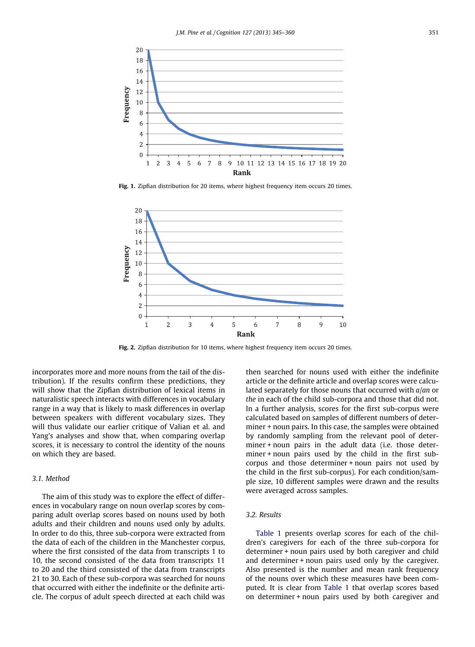<span id="page-6-0"></span>

Fig. 1. Zipfian distribution for 20 items, where highest frequency item occurs 20 times.



Fig. 2. Zipfian distribution for 10 items, where highest frequency item occurs 20 times.

incorporates more and more nouns from the tail of the distribution). If the results confirm these predictions, they will show that the Zipfian distribution of lexical items in naturalistic speech interacts with differences in vocabulary range in a way that is likely to mask differences in overlap between speakers with different vocabulary sizes. They will thus validate our earlier critique of Valian et al. and Yang's analyses and show that, when comparing overlap scores, it is necessary to control the identity of the nouns on which they are based.

#### 3.1. Method

The aim of this study was to explore the effect of differences in vocabulary range on noun overlap scores by comparing adult overlap scores based on nouns used by both adults and their children and nouns used only by adults. In order to do this, three sub-corpora were extracted from the data of each of the children in the Manchester corpus, where the first consisted of the data from transcripts 1 to 10, the second consisted of the data from transcripts 11 to 20 and the third consisted of the data from transcripts 21 to 30. Each of these sub-corpora was searched for nouns that occurred with either the indefinite or the definite article. The corpus of adult speech directed at each child was

then searched for nouns used with either the indefinite article or the definite article and overlap scores were calculated separately for those nouns that occurred with a/an or the in each of the child sub-corpora and those that did not. In a further analysis, scores for the first sub-corpus were calculated based on samples of different numbers of determiner + noun pairs. In this case, the samples were obtained by randomly sampling from the relevant pool of determiner + noun pairs in the adult data (i.e. those determiner + noun pairs used by the child in the first subcorpus and those determiner + noun pairs not used by the child in the first sub-corpus). For each condition/sample size, 10 different samples were drawn and the results were averaged across samples.

#### 3.2. Results

[Table 1](#page-7-0) presents overlap scores for each of the children's caregivers for each of the three sub-corpora for determiner + noun pairs used by both caregiver and child and determiner + noun pairs used only by the caregiver. Also presented is the number and mean rank frequency of the nouns over which these measures have been computed. It is clear from [Table 1](#page-7-0) that overlap scores based on determiner + noun pairs used by both caregiver and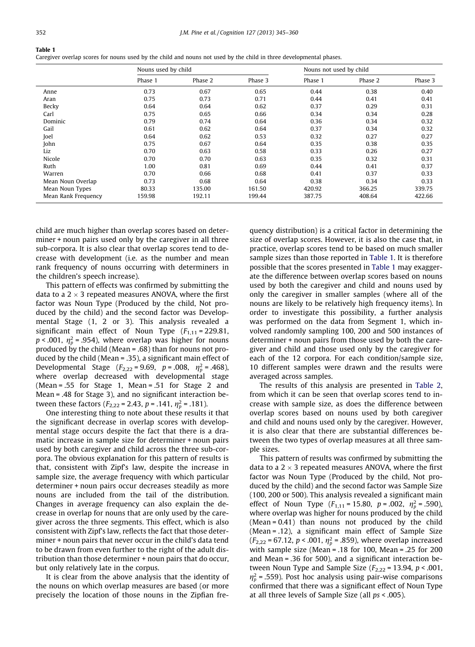|                   | Nouns used by child |         |         | Nouns not used by child |         |         |
|-------------------|---------------------|---------|---------|-------------------------|---------|---------|
|                   | Phase 1             | Phase 2 | Phase 3 | Phase 1                 | Phase 2 | Phase 3 |
| Anne              | 0.73                | 0.67    | 0.65    | 0.44                    | 0.38    | 0.40    |
| Aran              | 0.75                | 0.73    | 0.71    | 0.44                    | 0.41    | 0.41    |
| Becky             | 0.64                | 0.64    | 0.62    | 0.37                    | 0.29    | 0.31    |
| Carl              | 0.75                | 0.65    | 0.66    | 0.34                    | 0.34    | 0.28    |
| Dominic           | 0.79                | 0.74    | 0.64    | 0.36                    | 0.34    | 0.32    |
| Gail              | 0.61                | 0.62    | 0.64    | 0.37                    | 0.34    | 0.32    |
| Joel              | 0.64                | 0.62    | 0.53    | 0.32                    | 0.27    | 0.27    |
| John              | 0.75                | 0.67    | 0.64    | 0.35                    | 0.38    | 0.35    |
| Liz               | 0.70                | 0.63    | 0.58    | 0.33                    | 0.26    | 0.27    |
| Nicole            | 0.70                | 0.70    | 0.63    | 0.35                    | 0.32    | 0.31    |
| Ruth              | 1.00                | 0.81    | 0.69    | 0.44                    | 0.41    | 0.37    |
| Warren            | 0.70                | 0.66    | 0.68    | 0.41                    | 0.37    | 0.33    |
| Mean Noun Overlap | 0.73                | 0.68    | 0.64    | 0.38                    | 0.34    | 0.33    |

Mean Noun Types 80.33 135.00 161.50 420.92 366.25 339.75 Mean Rank Frequency 159.98 192.11 199.44 387.75 408.64 422.66

<span id="page-7-0"></span>Table 1

Caregiver overlap scores for nouns used by the child and nouns not used by the child in three developmental phases.

child are much higher than overlap scores based on determiner + noun pairs used only by the caregiver in all three sub-corpora. It is also clear that overlap scores tend to decrease with development (i.e. as the number and mean rank frequency of nouns occurring with determiners in the children's speech increase).

This pattern of effects was confirmed by submitting the data to a  $2 \times 3$  repeated measures ANOVA, where the first factor was Noun Type (Produced by the child, Not produced by the child) and the second factor was Developmental Stage (1, 2 or 3). This analysis revealed a significant main effect of Noun Type  $(F_{1,11} = 229.81,$  $p < .001$ ,  $\eta_p^2 = .954$ ), where overlap was higher for nouns produced by the child (Mean = .68) than for nouns not produced by the child (Mean = .35), a significant main effect of Developmental Stage  $(F_{2,22} = 9.69, p = .008, \eta_p^2 = .468)$ , where overlap decreased with developmental stage (Mean = .55 for Stage 1, Mean = .51 for Stage 2 and Mean = .48 for Stage 3), and no significant interaction between these factors ( $F_{2,22}$  = 2.43, p = .141,  $\eta_p^2$  = .181).

One interesting thing to note about these results it that the significant decrease in overlap scores with developmental stage occurs despite the fact that there is a dramatic increase in sample size for determiner + noun pairs used by both caregiver and child across the three sub-corpora. The obvious explanation for this pattern of results is that, consistent with Zipf's law, despite the increase in sample size, the average frequency with which particular determiner + noun pairs occur decreases steadily as more nouns are included from the tail of the distribution. Changes in average frequency can also explain the decrease in overlap for nouns that are only used by the caregiver across the three segments. This effect, which is also consistent with Zipf's law, reflects the fact that those determiner + noun pairs that never occur in the child's data tend to be drawn from even further to the right of the adult distribution than those determiner + noun pairs that do occur, but only relatively late in the corpus.

It is clear from the above analysis that the identity of the nouns on which overlap measures are based (or more precisely the location of those nouns in the Zipfian frequency distribution) is a critical factor in determining the size of overlap scores. However, it is also the case that, in practice, overlap scores tend to be based on much smaller sample sizes than those reported in Table 1. It is therefore possible that the scores presented in Table 1 may exaggerate the difference between overlap scores based on nouns used by both the caregiver and child and nouns used by only the caregiver in smaller samples (where all of the nouns are likely to be relatively high frequency items). In order to investigate this possibility, a further analysis was performed on the data from Segment 1, which involved randomly sampling 100, 200 and 500 instances of determiner + noun pairs from those used by both the caregiver and child and those used only by the caregiver for each of the 12 corpora. For each condition/sample size, 10 different samples were drawn and the results were averaged across samples.

The results of this analysis are presented in [Table 2,](#page-8-0) from which it can be seen that overlap scores tend to increase with sample size, as does the difference between overlap scores based on nouns used by both caregiver and child and nouns used only by the caregiver. However, it is also clear that there are substantial differences between the two types of overlap measures at all three sample sizes.

This pattern of results was confirmed by submitting the data to a  $2 \times 3$  repeated measures ANOVA, where the first factor was Noun Type (Produced by the child, Not produced by the child) and the second factor was Sample Size (100, 200 or 500). This analysis revealed a significant main effect of Noun Type  $(F_{1,11} = 15.80, p = .002, \eta_p^2 = .590)$ where overlap was higher for nouns produced by the child (Mean = 0.41) than nouns not produced by the child (Mean = .12), a significant main effect of Sample Size  $(F_{2,22} = 67.12, p < .001, \eta_p^2 = .859)$ , where overlap increased with sample size (Mean = .18 for 100, Mean = .25 for 200 and Mean = .36 for 500), and a significant interaction between Noun Type and Sample Size  $(F_{2,22} = 13.94, p < .001,$  $\eta_p^2$  = .559). Post hoc analysis using pair-wise comparisons confirmed that there was a significant effect of Noun Type at all three levels of Sample Size (all ps < .005).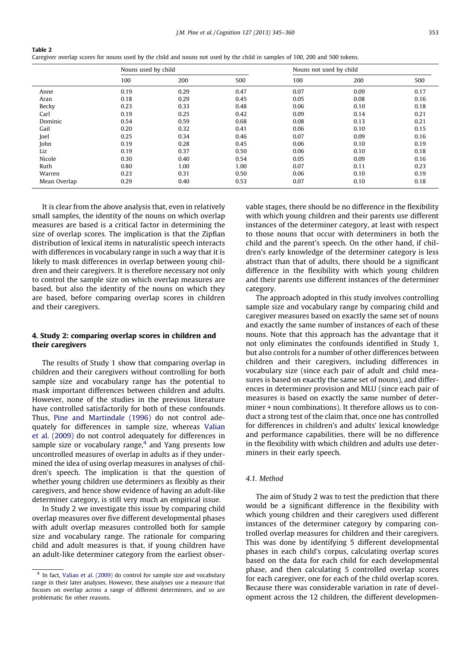|              | Nouns used by child |      |      | Nouns not used by child |      |      |  |
|--------------|---------------------|------|------|-------------------------|------|------|--|
|              | 100                 | 200  | 500  | 100                     | 200  | 500  |  |
| Anne         | 0.19                | 0.29 | 0.47 | 0.07                    | 0.09 | 0.17 |  |
| Aran         | 0.18                | 0.29 | 0.45 | 0.05                    | 0.08 | 0.16 |  |
| Becky        | 0.23                | 0.33 | 0.48 | 0.06                    | 0.10 | 0.18 |  |
| Carl         | 0.19                | 0.25 | 0.42 | 0.09                    | 0.14 | 0.21 |  |
| Dominic      | 0.54                | 0.59 | 0.68 | 0.08                    | 0.13 | 0.21 |  |
| Gail         | 0.20                | 0.32 | 0.41 | 0.06                    | 0.10 | 0.15 |  |
| Joel         | 0.25                | 0.34 | 0.46 | 0.07                    | 0.09 | 0.16 |  |
| John         | 0.19                | 0.28 | 0.45 | 0.06                    | 0.10 | 0.19 |  |
| Liz          | 0.19                | 0.37 | 0.50 | 0.06                    | 0.10 | 0.18 |  |
| Nicole       | 0.30                | 0.40 | 0.54 | 0.05                    | 0.09 | 0.16 |  |
| Ruth         | 0.80                | 1.00 | 1.00 | 0.07                    | 0.11 | 0.23 |  |
| Warren       | 0.23                | 0.31 | 0.50 | 0.06                    | 0.10 | 0.19 |  |
| Mean Overlap | 0.29                | 0.40 | 0.53 | 0.07                    | 0.10 | 0.18 |  |

<span id="page-8-0"></span>Table 2

caregiver overlap scores for nouns used by the child and nouns not used by the child in samples of 100, 200 and 500 tokens.

It is clear from the above analysis that, even in relatively small samples, the identity of the nouns on which overlap measures are based is a critical factor in determining the size of overlap scores. The implication is that the Zipfian distribution of lexical items in naturalistic speech interacts with differences in vocabulary range in such a way that it is likely to mask differences in overlap between young children and their caregivers. It is therefore necessary not only to control the sample size on which overlap measures are based, but also the identity of the nouns on which they are based, before comparing overlap scores in children and their caregivers.

## 4. Study 2: comparing overlap scores in children and their caregivers

The results of Study 1 show that comparing overlap in children and their caregivers without controlling for both sample size and vocabulary range has the potential to mask important differences between children and adults. However, none of the studies in the previous literature have controlled satisfactorily for both of these confounds. Thus, [Pine and Martindale \(1996\)](#page-14-0) do not control adequately for differences in sample size, whereas [Valian](#page-15-0) [et al. \(2009\)](#page-15-0) do not control adequately for differences in sample size or vocabulary range, $4$  and Yang presents low uncontrolled measures of overlap in adults as if they undermined the idea of using overlap measures in analyses of children's speech. The implication is that the question of whether young children use determiners as flexibly as their caregivers, and hence show evidence of having an adult-like determiner category, is still very much an empirical issue.

In Study 2 we investigate this issue by comparing child overlap measures over five different developmental phases with adult overlap measures controlled both for sample size and vocabulary range. The rationale for comparing child and adult measures is that, if young children have an adult-like determiner category from the earliest observable stages, there should be no difference in the flexibility with which young children and their parents use different instances of the determiner category, at least with respect to those nouns that occur with determiners in both the child and the parent's speech. On the other hand, if children's early knowledge of the determiner category is less abstract than that of adults, there should be a significant difference in the flexibility with which young children and their parents use different instances of the determiner category.

The approach adopted in this study involves controlling sample size and vocabulary range by comparing child and caregiver measures based on exactly the same set of nouns and exactly the same number of instances of each of these nouns. Note that this approach has the advantage that it not only eliminates the confounds identified in Study 1, but also controls for a number of other differences between children and their caregivers, including differences in vocabulary size (since each pair of adult and child measures is based on exactly the same set of nouns), and differences in determiner provision and MLU (since each pair of measures is based on exactly the same number of determiner + noun combinations). It therefore allows us to conduct a strong test of the claim that, once one has controlled for differences in children's and adults' lexical knowledge and performance capabilities, there will be no difference in the flexibility with which children and adults use determiners in their early speech.

#### 4.1. Method

The aim of Study 2 was to test the prediction that there would be a significant difference in the flexibility with which young children and their caregivers used different instances of the determiner category by comparing controlled overlap measures for children and their caregivers. This was done by identifying 5 different developmental phases in each child's corpus, calculating overlap scores based on the data for each child for each developmental phase, and then calculating 5 controlled overlap scores for each caregiver, one for each of the child overlap scores. Because there was considerable variation in rate of development across the 12 children, the different developmen-

<sup>4</sup> In fact, [Valian et al. \(2009\)](#page-15-0) do control for sample size and vocabulary range in their later analyses. However, these analyses use a measure that focuses on overlap across a range of different determiners, and so are problematic for other reasons.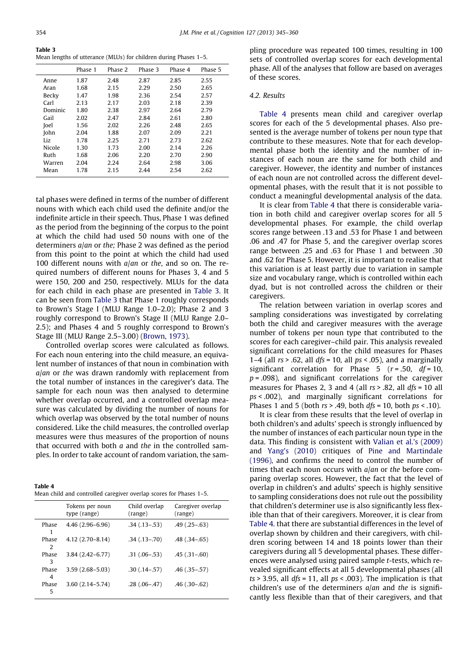Table 3 Mean lengths of utterance (MLUs) for children during Phases 1–5.

|         | Phase 1 | Phase 2 | Phase 3 | Phase 4 | Phase 5 |
|---------|---------|---------|---------|---------|---------|
| Anne    | 1.87    | 2.48    | 2.87    | 2.85    | 2.55    |
| Aran    | 1.68    | 2.15    | 2.29    | 2.50    | 2.65    |
| Becky   | 1.47    | 1.98    | 2.36    | 2.54    | 2.57    |
| Carl    | 2.13    | 2.17    | 2.03    | 2.18    | 2.39    |
| Dominic | 1.80    | 2.38    | 2.97    | 2.64    | 2.79    |
| Gail    | 2.02    | 2.47    | 2.84    | 2.61    | 2.80    |
| Joel    | 1.56    | 2.02    | 2.26    | 2.48    | 2.65    |
| Iohn    | 2.04    | 1.88    | 2.07    | 2.09    | 2.21    |
| Liz     | 1.78    | 2.25    | 2.71    | 2.73    | 2.62    |
| Nicole  | 1.30    | 1.73    | 2.00    | 2.14    | 2.26    |
| Ruth    | 1.68    | 2.06    | 2.20    | 2.70    | 2.90    |
| Warren  | 2.04    | 2.24    | 2.64    | 2.98    | 3.06    |
| Mean    | 1.78    | 2.15    | 2.44    | 2.54    | 2.62    |

tal phases were defined in terms of the number of different nouns with which each child used the definite and/or the indefinite article in their speech. Thus, Phase 1 was defined as the period from the beginning of the corpus to the point at which the child had used 50 nouns with one of the determiners a/an or the; Phase 2 was defined as the period from this point to the point at which the child had used 100 different nouns with a/an or the, and so on. The required numbers of different nouns for Phases 3, 4 and 5 were 150, 200 and 250, respectively. MLUs for the data for each child in each phase are presented in Table 3. It can be seen from Table 3 that Phase 1 roughly corresponds to Brown's Stage I (MLU Range 1.0–2.0); Phase 2 and 3 roughly correspond to Brown's Stage II (MLU Range 2.0– 2.5); and Phases 4 and 5 roughly correspond to Brown's Stage III (MLU Range 2.5–3.00) [\(Brown, 1973\)](#page-14-0).

Controlled overlap scores were calculated as follows. For each noun entering into the child measure, an equivalent number of instances of that noun in combination with a/an or the was drawn randomly with replacement from the total number of instances in the caregiver's data. The sample for each noun was then analysed to determine whether overlap occurred, and a controlled overlap measure was calculated by dividing the number of nouns for which overlap was observed by the total number of nouns considered. Like the child measures, the controlled overlap measures were thus measures of the proportion of nouns that occurred with both  $a$  and the in the controlled samples. In order to take account of random variation, the sam-

Table 4 Mean child and controlled caregiver overlap scores for Phases 1–5.

|                         | Tokens per noun<br>type (range) | Child overlap<br>(range) | Caregiver overlap<br>(range) |
|-------------------------|---------------------------------|--------------------------|------------------------------|
| Phase<br>1              | $4.46(2.96-6.96)$               | $.34(.13-.53)$           | $.49(.25-.63)$               |
| Phase<br>$\mathcal{L}$  | $4.12(2.70-8.14)$               | $.34(.13-.70)$           | $.48(.34-.65)$               |
| Phase<br>3              | $3.84(2.42-6.77)$               | $.31(.06-.53)$           | $.45(.31-.60)$               |
| Phase<br>$\overline{4}$ | $3.59(2.68 - 5.03)$             | $.30(.14-.57)$           | $.46(.35-.57)$               |
| Phase<br>5              | $3.60(2.14-5.74)$               | $.28(.06-.47)$           | $.46(.30-.62)$               |

pling procedure was repeated 100 times, resulting in 100 sets of controlled overlap scores for each developmental phase. All of the analyses that follow are based on averages of these scores.

## 4.2. Results

Table 4 presents mean child and caregiver overlap scores for each of the 5 developmental phases. Also presented is the average number of tokens per noun type that contribute to these measures. Note that for each developmental phase both the identity and the number of instances of each noun are the same for both child and caregiver. However, the identity and number of instances of each noun are not controlled across the different developmental phases, with the result that it is not possible to conduct a meaningful developmental analysis of the data.

It is clear from Table 4 that there is considerable variation in both child and caregiver overlap scores for all 5 developmental phases. For example, the child overlap scores range between .13 and .53 for Phase 1 and between .06 and .47 for Phase 5, and the caregiver overlap scores range between .25 and .63 for Phase 1 and between .30 and .62 for Phase 5. However, it is important to realise that this variation is at least partly due to variation in sample size and vocabulary range, which is controlled within each dyad, but is not controlled across the children or their caregivers.

The relation between variation in overlap scores and sampling considerations was investigated by correlating both the child and caregiver measures with the average number of tokens per noun type that contributed to the scores for each caregiver–child pair. This analysis revealed significant correlations for the child measures for Phases 1–4 (all  $rs > .62$ , all  $dfs = 10$ , all  $ps < .05$ ), and a marginally significant correlation for Phase  $5 (r = .50, df = 10,$  $p = .098$ ), and significant correlations for the caregiver measures for Phases 2, 3 and 4 (all  $rs > .82$ , all  $dfs = 10$  all ps < .002), and marginally significant correlations for Phases 1 and 5 (both  $rs > .49$ , both  $dfs = 10$ , both  $ns < .10$ ).

It is clear from these results that the level of overlap in both children's and adults' speech is strongly influenced by the number of instances of each particular noun type in the data. This finding is consistent with [Valian et al.'s \(2009\)](#page-15-0) and [Yang's \(2010\)](#page-15-0) critiques of [Pine and Martindale](#page-14-0) [\(1996\)](#page-14-0), and confirms the need to control the number of times that each noun occurs with  $a/an$  or the before comparing overlap scores. However, the fact that the level of overlap in children's and adults' speech is highly sensitive to sampling considerations does not rule out the possibility that children's determiner use is also significantly less flexible than that of their caregivers. Moreover, it is clear from Table 4. that there are substantial differences in the level of overlap shown by children and their caregivers, with children scoring between 14 and 18 points lower than their caregivers during all 5 developmental phases. These differences were analysed using paired sample t-tests, which revealed significant effects at all 5 developmental phases (all  $ts > 3.95$ , all  $dfs = 11$ , all  $ps < .003$ ). The implication is that children's use of the determiners  $a/an$  and the is significantly less flexible than that of their caregivers, and that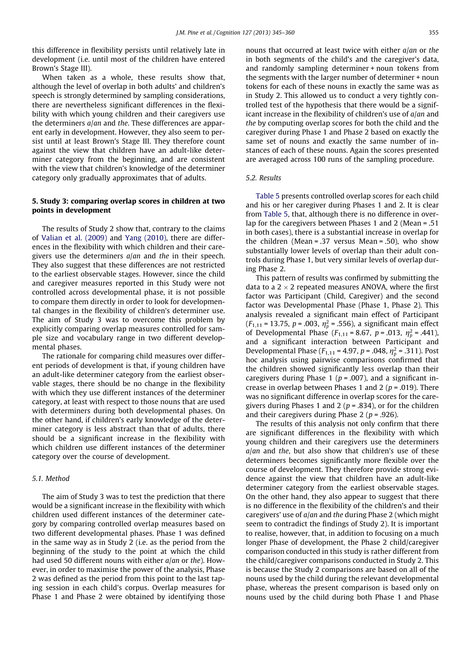this difference in flexibility persists until relatively late in development (i.e. until most of the children have entered Brown's Stage III).

When taken as a whole, these results show that, although the level of overlap in both adults' and children's speech is strongly determined by sampling considerations, there are nevertheless significant differences in the flexibility with which young children and their caregivers use the determiners a/an and the. These differences are apparent early in development. However, they also seem to persist until at least Brown's Stage III. They therefore count against the view that children have an adult-like determiner category from the beginning, and are consistent with the view that children's knowledge of the determiner category only gradually approximates that of adults.

## 5. Study 3: comparing overlap scores in children at two points in development

The results of Study 2 show that, contrary to the claims of [Valian et al. \(2009\)](#page-15-0) and [Yang \(2010\),](#page-15-0) there are differences in the flexibility with which children and their caregivers use the determiners  $a/an$  and the in their speech. They also suggest that these differences are not restricted to the earliest observable stages. However, since the child and caregiver measures reported in this Study were not controlled across developmental phase, it is not possible to compare them directly in order to look for developmental changes in the flexibility of children's determiner use. The aim of Study 3 was to overcome this problem by explicitly comparing overlap measures controlled for sample size and vocabulary range in two different developmental phases.

The rationale for comparing child measures over different periods of development is that, if young children have an adult-like determiner category from the earliest observable stages, there should be no change in the flexibility with which they use different instances of the determiner category, at least with respect to those nouns that are used with determiners during both developmental phases. On the other hand, if children's early knowledge of the determiner category is less abstract than that of adults, there should be a significant increase in the flexibility with which children use different instances of the determiner category over the course of development.

## 5.1. Method

The aim of Study 3 was to test the prediction that there would be a significant increase in the flexibility with which children used different instances of the determiner category by comparing controlled overlap measures based on two different developmental phases. Phase 1 was defined in the same way as in Study 2 (i.e. as the period from the beginning of the study to the point at which the child had used 50 different nouns with either a/an or the). However, in order to maximise the power of the analysis, Phase 2 was defined as the period from this point to the last taping session in each child's corpus. Overlap measures for Phase 1 and Phase 2 were obtained by identifying those

nouns that occurred at least twice with either  $a/an$  or the in both segments of the child's and the caregiver's data, and randomly sampling determiner + noun tokens from the segments with the larger number of determiner + noun tokens for each of these nouns in exactly the same was as in Study 2. This allowed us to conduct a very tightly controlled test of the hypothesis that there would be a significant increase in the flexibility of children's use of a/an and the by computing overlap scores for both the child and the caregiver during Phase 1 and Phase 2 based on exactly the same set of nouns and exactly the same number of instances of each of these nouns. Again the scores presented are averaged across 100 runs of the sampling procedure.

## 5.2. Results

[Table 5](#page-11-0) presents controlled overlap scores for each child and his or her caregiver during Phases 1 and 2. It is clear from [Table 5](#page-11-0), that, although there is no difference in overlap for the caregivers between Phases 1 and 2 (Mean = .51 in both cases), there is a substantial increase in overlap for the children (Mean = .37 versus Mean = .50), who show substantially lower levels of overlap than their adult controls during Phase 1, but very similar levels of overlap during Phase 2.

This pattern of results was confirmed by submitting the data to a  $2 \times 2$  repeated measures ANOVA, where the first factor was Participant (Child, Caregiver) and the second factor was Developmental Phase (Phase 1, Phase 2). This analysis revealed a significant main effect of Participant  $(F_{1,11} = 13.75, p = .003, \eta_p^2 = .556)$ , a significant main effect of Developmental Phase  $(F_{1,11} = 8.67, p = .013, \eta_p^2 = .441)$ , and a significant interaction between Participant and Developmental Phase ( $F_{1,11}$  = 4.97, p = .048,  $\eta_p^2$  = .311). Post hoc analysis using pairwise comparisons confirmed that the children showed significantly less overlap than their caregivers during Phase 1 ( $p = .007$ ), and a significant increase in overlap between Phases 1 and 2 ( $p = .019$ ). There was no significant difference in overlap scores for the caregivers during Phases 1 and 2 ( $p = .834$ ), or for the children and their caregivers during Phase 2 ( $p = .926$ ).

The results of this analysis not only confirm that there are significant differences in the flexibility with which young children and their caregivers use the determiners  $a/an$  and the, but also show that children's use of these determiners becomes significantly more flexible over the course of development. They therefore provide strong evidence against the view that children have an adult-like determiner category from the earliest observable stages. On the other hand, they also appear to suggest that there is no difference in the flexibility of the children's and their caregivers' use of a/an and the during Phase 2 (which might seem to contradict the findings of Study 2). It is important to realise, however, that, in addition to focusing on a much longer Phase of development, the Phase 2 child/caregiver comparison conducted in this study is rather different from the child/caregiver comparisons conducted in Study 2. This is because the Study 2 comparisons are based on all of the nouns used by the child during the relevant developmental phase, whereas the present comparison is based only on nouns used by the child during both Phase 1 and Phase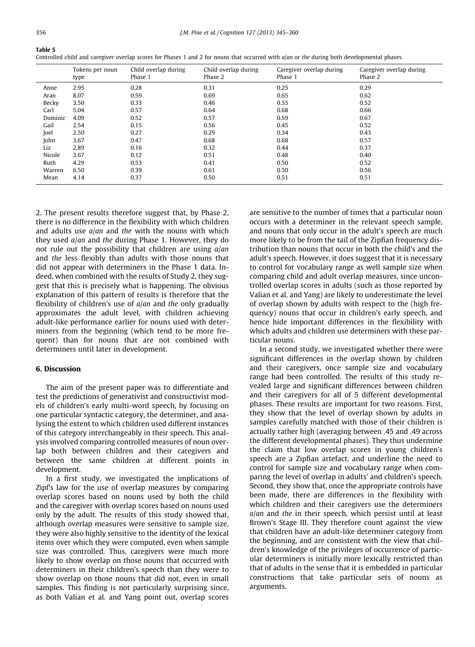<span id="page-11-0"></span>Table 5

| IMMIL V | Controlled child and caregiver overlap scores for Phases 1 and 2 for nouns that occurred with a/an or the during both developmental phases. |                                 |                                 |                                     |                                     |  |  |
|---------|---------------------------------------------------------------------------------------------------------------------------------------------|---------------------------------|---------------------------------|-------------------------------------|-------------------------------------|--|--|
|         | Tokens per noun<br>type                                                                                                                     | Child overlap during<br>Phase 1 | Child overlap during<br>Phase 2 | Caregiver overlap during<br>Phase 1 | Caregiver overlap during<br>Phase 2 |  |  |
| Anne    | 2.95                                                                                                                                        | 0.28                            | 0.31                            | 0.25                                | 0.29                                |  |  |
| Aran    | 8.07                                                                                                                                        | 0.59                            | 0.69                            | 0.65                                | 0.62                                |  |  |
| Becky   | 3.50                                                                                                                                        | 0.33                            | 0.46                            | 0.55                                | 0.52                                |  |  |
| Carl    | 5.04                                                                                                                                        | 0.57                            | 0.64                            | 0.68                                | 0.66                                |  |  |
| Dominic | 4.09                                                                                                                                        | 0.52                            | 0.57                            | 0.59                                | 0.67                                |  |  |
|         |                                                                                                                                             |                                 |                                 |                                     |                                     |  |  |

Gail 2.54 0.15 0.56 0.45 0.52 Joel 2.50 0.27 0.29 0.34 0.43 John 3.67 0.47 0.68 0.68 0.57 Liz 2.89 0.16 0.32 0.44 0.37 Nicole 3.67 0.12 0.51 0.48 0.40 Ruth 4.29 0.53 0.41 0.50 0.50 0.52 Warren 6.50 0.39 0.61 0.50 0.56 Mean 4.14 0.37 0.50 0.51 0.51

2. The present results therefore suggest that, by Phase 2, there is no difference in the flexibility with which children and adults use  $a/an$  and the with the nouns with which they used  $a/an$  and the during Phase 1. However, they do not rule out the possibility that children are using  $a/an$ and the less flexibly than adults with those nouns that did not appear with determiners in the Phase 1 data. Indeed, when combined with the results of Study 2, they suggest that this is precisely what is happening. The obvious explanation of this pattern of results is therefore that the flexibility of children's use of a/an and the only gradually approximates the adult level, with children achieving adult-like performance earlier for nouns used with determiners from the beginning (which tend to be more frequent) than for nouns that are not combined with determiners until later in development.

## 6. Discussion

The aim of the present paper was to differentiate and test the predictions of generativist and constructivist models of children's early multi-word speech, by focusing on one particular syntactic category, the determiner, and analysing the extent to which children used different instances of this category interchangeably in their speech. This analysis involved comparing controlled measures of noun overlap both between children and their caregivers and between the same children at different points in development.

In a first study, we investigated the implications of Zipf's law for the use of overlap measures by comparing overlap scores based on nouns used by both the child and the caregiver with overlap scores based on nouns used only by the adult. The results of this study showed that, although overlap measures were sensitive to sample size, they were also highly sensitive to the identity of the lexical items over which they were computed, even when sample size was controlled. Thus, caregivers were much more likely to show overlap on those nouns that occurred with determiners in their children's speech than they were to show overlap on those nouns that did not, even in small samples. This finding is not particularly surprising since, as both Valian et al. and Yang point out, overlap scores

are sensitive to the number of times that a particular noun occurs with a determiner in the relevant speech sample, and nouns that only occur in the adult's speech are much more likely to be from the tail of the Zipfian frequency distribution than nouns that occur in both the child's and the adult's speech. However, it does suggest that it is necessary to control for vocabulary range as well sample size when comparing child and adult overlap measures, since uncontrolled overlap scores in adults (such as those reported by Valian et al. and Yang) are likely to underestimate the level of overlap shown by adults with respect to the (high frequency) nouns that occur in children's early speech, and hence hide important differences in the flexibility with which adults and children use determiners with these particular nouns.

In a second study, we investigated whether there were significant differences in the overlap shown by children and their caregivers, once sample size and vocabulary range had been controlled. The results of this study revealed large and significant differences between children and their caregivers for all of 5 different developmental phases. These results are important for two reasons. First, they show that the level of overlap shown by adults in samples carefully matched with those of their children is actually rather high (averaging between .45 and .49 across the different developmental phases). They thus undermine the claim that low overlap scores in young children's speech are a Zipfian artefact, and underline the need to control for sample size and vocabulary range when comparing the level of overlap in adults' and children's speech. Second, they show that, once the appropriate controls have been made, there are differences in the flexibility with which children and their caregivers use the determiners a/an and the in their speech, which persist until at least Brown's Stage III. They therefore count against the view that children have an adult-like determiner category from the beginning, and are consistent with the view that children's knowledge of the privileges of occurrence of particular determiners is initially more lexically restricted than that of adults in the sense that it is embedded in particular constructions that take particular sets of nouns as arguments.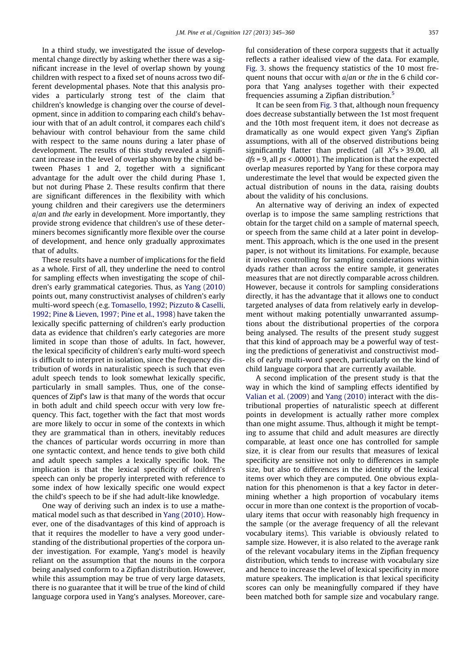In a third study, we investigated the issue of developmental change directly by asking whether there was a significant increase in the level of overlap shown by young children with respect to a fixed set of nouns across two different developmental phases. Note that this analysis provides a particularly strong test of the claim that children's knowledge is changing over the course of development, since in addition to comparing each child's behaviour with that of an adult control, it compares each child's behaviour with control behaviour from the same child with respect to the same nouns during a later phase of development. The results of this study revealed a significant increase in the level of overlap shown by the child between Phases 1 and 2, together with a significant advantage for the adult over the child during Phase 1, but not during Phase 2. These results confirm that there are significant differences in the flexibility with which young children and their caregivers use the determiners  $a$ /*an* and the early in development. More importantly, they provide strong evidence that children's use of these determiners becomes significantly more flexible over the course of development, and hence only gradually approximates that of adults.

These results have a number of implications for the field as a whole. First of all, they underline the need to control for sampling effects when investigating the scope of children's early grammatical categories. Thus, as [Yang \(2010\)](#page-15-0) points out, many constructivist analyses of children's early multi-word speech (e.g. [Tomasello, 1992](#page-15-0); [Pizzuto & Caselli,](#page-14-0) [1992;](#page-14-0) [Pine & Lieven, 1997; Pine et al., 1998\)](#page-14-0) have taken the lexically specific patterning of children's early production data as evidence that children's early categories are more limited in scope than those of adults. In fact, however, the lexical specificity of children's early multi-word speech is difficult to interpret in isolation, since the frequency distribution of words in naturalistic speech is such that even adult speech tends to look somewhat lexically specific, particularly in small samples. Thus, one of the consequences of Zipf's law is that many of the words that occur in both adult and child speech occur with very low frequency. This fact, together with the fact that most words are more likely to occur in some of the contexts in which they are grammatical than in others, inevitably reduces the chances of particular words occurring in more than one syntactic context, and hence tends to give both child and adult speech samples a lexically specific look. The implication is that the lexical specificity of children's speech can only be properly interpreted with reference to some index of how lexically specific one would expect the child's speech to be if she had adult-like knowledge.

One way of deriving such an index is to use a mathematical model such as that described in [Yang \(2010\)](#page-15-0). However, one of the disadvantages of this kind of approach is that it requires the modeller to have a very good understanding of the distributional properties of the corpora under investigation. For example, Yang's model is heavily reliant on the assumption that the nouns in the corpora being analysed conform to a Zipfian distribution. However, while this assumption may be true of very large datasets, there is no guarantee that it will be true of the kind of child language corpora used in Yang's analyses. Moreover, careful consideration of these corpora suggests that it actually reflects a rather idealised view of the data. For example, [Fig. 3](#page-13-0). shows the frequency statistics of the 10 most frequent nouns that occur with a/an or the in the 6 child corpora that Yang analyses together with their expected frequencies assuming a Zipfian distribution.<sup>[5](#page-13-0)</sup>

It can be seen from [Fig. 3](#page-13-0) that, although noun frequency does decrease substantially between the 1st most frequent and the 10th most frequent item, it does not decrease as dramatically as one would expect given Yang's Zipfian assumptions, with all of the observed distributions being significantly flatter than predicted (all  $X^2$ s > 39.00, all  $dfs = 9$ , all  $ps < .00001$ ). The implication is that the expected overlap measures reported by Yang for these corpora may underestimate the level that would be expected given the actual distribution of nouns in the data, raising doubts about the validity of his conclusions.

An alternative way of deriving an index of expected overlap is to impose the same sampling restrictions that obtain for the target child on a sample of maternal speech, or speech from the same child at a later point in development. This approach, which is the one used in the present paper, is not without its limitations. For example, because it involves controlling for sampling considerations within dyads rather than across the entire sample, it generates measures that are not directly comparable across children. However, because it controls for sampling considerations directly, it has the advantage that it allows one to conduct targeted analyses of data from relatively early in development without making potentially unwarranted assumptions about the distributional properties of the corpora being analysed. The results of the present study suggest that this kind of approach may be a powerful way of testing the predictions of generativist and constructivist models of early multi-word speech, particularly on the kind of child language corpora that are currently available.

A second implication of the present study is that the way in which the kind of sampling effects identified by [Valian et al. \(2009\)](#page-15-0) and [Yang \(2010\)](#page-15-0) interact with the distributional properties of naturalistic speech at different points in development is actually rather more complex than one might assume. Thus, although it might be tempting to assume that child and adult measures are directly comparable, at least once one has controlled for sample size, it is clear from our results that measures of lexical specificity are sensitive not only to differences in sample size, but also to differences in the identity of the lexical items over which they are computed. One obvious explanation for this phenomenon is that a key factor in determining whether a high proportion of vocabulary items occur in more than one context is the proportion of vocabulary items that occur with reasonably high frequency in the sample (or the average frequency of all the relevant vocabulary items). This variable is obviously related to sample size. However, it is also related to the average rank of the relevant vocabulary items in the Zipfian frequency distribution, which tends to increase with vocabulary size and hence to increase the level of lexical specificity in more mature speakers. The implication is that lexical specificity scores can only be meaningfully compared if they have been matched both for sample size and vocabulary range.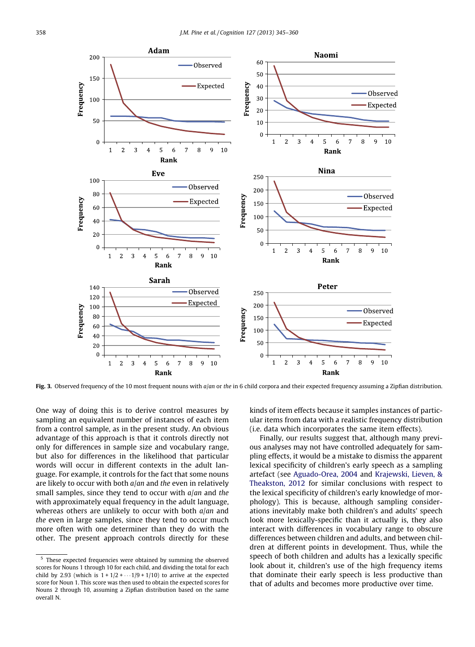<span id="page-13-0"></span>

Fig. 3. Observed frequency of the 10 most frequent nouns with a/an or the in 6 child corpora and their expected frequency assuming a Zipfian distribution.

One way of doing this is to derive control measures by sampling an equivalent number of instances of each item from a control sample, as in the present study. An obvious advantage of this approach is that it controls directly not only for differences in sample size and vocabulary range, but also for differences in the likelihood that particular words will occur in different contexts in the adult language. For example, it controls for the fact that some nouns are likely to occur with both  $a/an$  and the even in relatively small samples, since they tend to occur with  $a/an$  and the with approximately equal frequency in the adult language, whereas others are unlikely to occur with both  $a/an$  and the even in large samples, since they tend to occur much more often with one determiner than they do with the other. The present approach controls directly for these

kinds of item effects because it samples instances of particular items from data with a realistic frequency distribution (i.e. data which incorporates the same item effects).

Finally, our results suggest that, although many previous analyses may not have controlled adequately for sampling effects, it would be a mistake to dismiss the apparent lexical specificity of children's early speech as a sampling artefact (see [Aguado-Orea, 2004](#page-14-0) and [Krajewski, Lieven, &](#page-14-0) [Theakston, 2012](#page-14-0) for similar conclusions with respect to the lexical specificity of children's early knowledge of morphology). This is because, although sampling considerations inevitably make both children's and adults' speech look more lexically-specific than it actually is, they also interact with differences in vocabulary range to obscure differences between children and adults, and between children at different points in development. Thus, while the speech of both children and adults has a lexically specific look about it, children's use of the high frequency items that dominate their early speech is less productive than that of adults and becomes more productive over time.

<sup>5</sup> These expected frequencies were obtained by summing the observed scores for Nouns 1 through 10 for each child, and dividing the total for each child by 2.93 (which is  $1 + 1/2 + \cdots + 1/9 + 1/10$ ) to arrive at the expected score for Noun 1. This score was then used to obtain the expected scores for Nouns 2 through 10, assuming a Zipfian distribution based on the same overall N.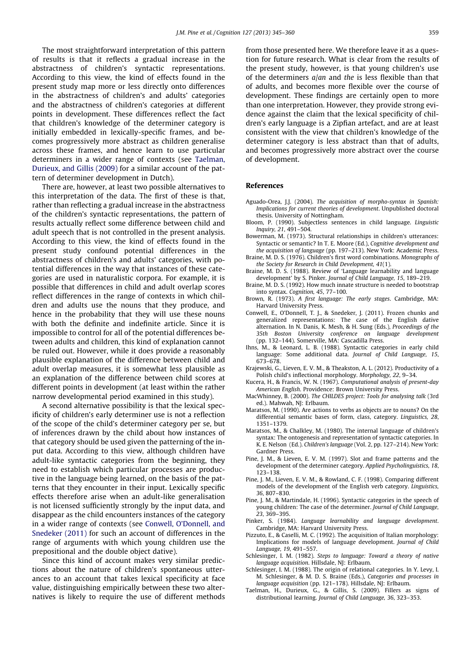<span id="page-14-0"></span>The most straightforward interpretation of this pattern of results is that it reflects a gradual increase in the abstractness of children's syntactic representations. According to this view, the kind of effects found in the present study map more or less directly onto differences in the abstractness of children's and adults' categories and the abstractness of children's categories at different points in development. These differences reflect the fact that children's knowledge of the determiner category is initially embedded in lexically-specific frames, and becomes progressively more abstract as children generalise across these frames, and hence learn to use particular determiners in a wider range of contexts (see Taelman, Durieux, and Gillis (2009) for a similar account of the pattern of determiner development in Dutch).

There are, however, at least two possible alternatives to this interpretation of the data. The first of these is that, rather than reflecting a gradual increase in the abstractness of the children's syntactic representations, the pattern of results actually reflect some difference between child and adult speech that is not controlled in the present analysis. According to this view, the kind of effects found in the present study confound potential differences in the abstractness of children's and adults' categories, with potential differences in the way that instances of these categories are used in naturalistic corpora. For example, it is possible that differences in child and adult overlap scores reflect differences in the range of contexts in which children and adults use the nouns that they produce, and hence in the probability that they will use these nouns with both the definite and indefinite article. Since it is impossible to control for all of the potential differences between adults and children, this kind of explanation cannot be ruled out. However, while it does provide a reasonably plausible explanation of the difference between child and adult overlap measures, it is somewhat less plausible as an explanation of the difference between child scores at different points in development (at least within the rather narrow developmental period examined in this study).

A second alternative possibility is that the lexical specificity of children's early determiner use is not a reflection of the scope of the child's determiner category per se, but of inferences drawn by the child about how instances of that category should be used given the patterning of the input data. According to this view, although children have adult-like syntactic categories from the beginning, they need to establish which particular processes are productive in the language being learned, on the basis of the patterns that they encounter in their input. Lexically specific effects therefore arise when an adult-like generalisation is not licensed sufficiently strongly by the input data, and disappear as the child encounters instances of the category in a wider range of contexts (see Conwell, O'Donnell, and Snedeker (2011) for such an account of differences in the range of arguments with which young children use the prepositional and the double object dative).

Since this kind of account makes very similar predictions about the nature of children's spontaneous utterances to an account that takes lexical specificity at face value, distinguishing empirically between these two alternatives is likely to require the use of different methods from those presented here. We therefore leave it as a question for future research. What is clear from the results of the present study, however, is that young children's use of the determiners a/an and the is less flexible than that of adults, and becomes more flexible over the course of development. These findings are certainly open to more than one interpretation. However, they provide strong evidence against the claim that the lexical specificity of children's early language is a Zipfian artefact, and are at least consistent with the view that children's knowledge of the determiner category is less abstract than that of adults, and becomes progressively more abstract over the course of development.

#### References

- Aguado-Orea, J.J. (2004). The acquisition of morpho-syntax in Spanish: Implications for current theories of development. Unpublished doctoral thesis. University of Nottingham.
- Bloom, P. (1990). Subjectless sentences in child language. Linguistic Inquiry, 21, 491–504.
- Bowerman, M. (1973). Structural relationships in children's utterances: Syntactic or semantic? In T. E. Moore (Ed.), Cognitive development and the acquisition of language (pp. 197–213). New York: Academic Press.
- Braine, M. D. S. (1976). Children's first word combinations. Monographs of the Society for Research in Child Development, 41(1).
- Braine, M. D. S. (1988). Review of 'Language learnability and language development' by S. Pinker. Journal of Child Language, 15, 189–219.
- Braine, M. D. S. (1992). How much innate structure is needed to bootstrap into syntax. Cognition, 45, 77–100.
- Brown, R. (1973). A first language: The early stages. Cambridge, MA: Harvard University Press.
- Conwell, E., O'Donnell, T. J., & Snedeker, J. (2011). Frozen chunks and generalized representations: The case of the English dative alternation. In N. Danis, K. Mesh, & H. Sung (Eds.), Proceedings of the 35th Boston University conference on language development (pp. 132–144). Somerville, MA: Cascadilla Press.
- Ihns, M., & Leonard, L. B. (1988). Syntactic categories in early child language: Some additional data. Journal of Child Language, 15, 673–678.
- Krajewski, G., Lieven, E. V. M., & Theakston, A. L. (2012). Productivity of a Polish child's inflectional morphology. Morphology, 22, 9–34.
- Kucera, H., & Francis, W. N. (1967). Computational analysis of present-day American English. Providence: Brown University Press.
- MacWhinney, B. (2000). The CHILDES project: Tools for analysing talk (3rd ed.). Mahwah, NJ: Erlbaum.
- Maratsos, M. (1990). Are actions to verbs as objects are to nouns? On the differential semantic bases of form, class, category. Linguistics, 28, 1351–1379.
- Maratsos, M., & Chalkley, M. (1980). The internal language of children's syntax: The ontogenesis and representation of syntactic categories. In K. E. Nelson (Ed.). Children's language (Vol. 2, pp. 127–214). New York: Gardner Press.
- Pine, J. M., & Lieven, E. V. M. (1997). Slot and frame patterns and the development of the determiner category. Applied Psycholinguistics, 18, 123–138.
- Pine, J. M., Lieven, E. V. M., & Rowland, C. F. (1998). Comparing different models of the development of the English verb category. Linguistics, 36, 807–830.
- Pine, J. M., & Martindale, H. (1996). Syntactic categories in the speech of young children: The case of the determiner. Journal of Child Language, 23, 369–395.
- Pinker, S. (1984). Language learnability and language development. Cambridge, MA: Harvard University Press.
- Pizzuto, E., & Caselli, M. C. (1992). The acquisition of Italian morphology: Implications for models of language development. Journal of Child Language, 19, 491–557.
- Schlesinger, I. M. (1982). Steps to language: Toward a theory of native language acquisition. Hillsdale, NJ: Erlbaum.
- Schlesinger, I. M. (1988). The origin of relational categories. In Y. Levy, I. M. Schlesinger, & M. D. S. Braine (Eds.), Categories and processes in language acquisition (pp. 121–178). Hillsdale, NJ: Erlbaum.
- Taelman, H., Durieux, G., & Gillis, S. (2009). Fillers as signs of distributional learning. Journal of Child Language, 36, 323–353.